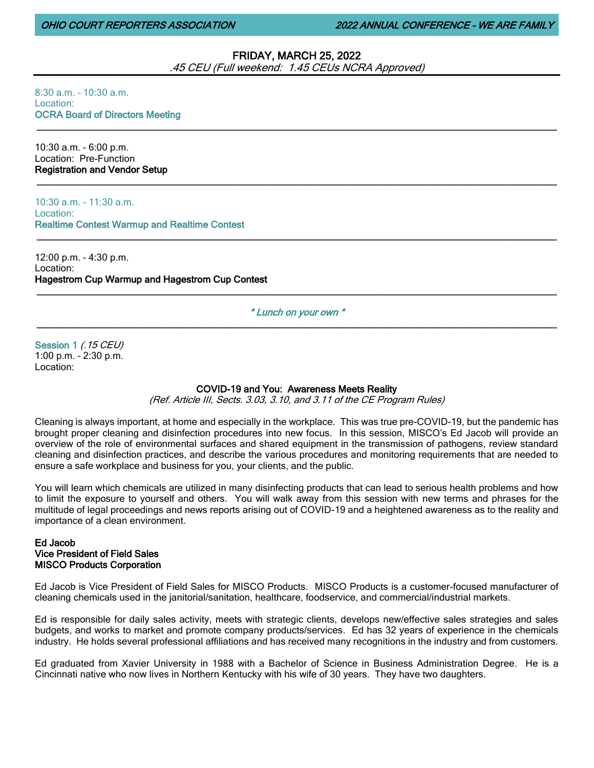OHIO COURT REPORTERS ASSOCIATION 2022 ANNUAL CONFERENCE – WE ARE FAMILY

# FRIDAY, MARCH 25, 2022

.45 CEU (Full weekend: 1.45 CEUs NCRA Approved)

 $\_$  ,  $\_$  ,  $\_$  ,  $\_$  ,  $\_$  ,  $\_$  ,  $\_$  ,  $\_$  ,  $\_$  ,  $\_$  ,  $\_$  ,  $\_$  ,  $\_$  ,  $\_$  ,  $\_$  ,  $\_$  ,  $\_$  ,  $\_$  ,  $\_$  ,  $\_$  ,  $\_$  ,  $\_$  ,  $\_$  ,  $\_$  ,  $\_$  ,  $\_$  ,  $\_$  ,  $\_$  ,  $\_$  ,  $\_$  ,  $\_$  ,  $\_$  ,  $\_$  ,  $\_$  ,  $\_$  ,  $\_$  ,  $\_$  ,

\_\_\_\_\_\_\_\_\_\_\_\_\_\_\_\_\_\_\_\_\_\_\_\_\_\_\_\_\_\_\_\_\_\_\_\_\_\_\_\_\_\_\_\_\_\_\_\_\_\_\_\_\_\_\_\_\_\_\_\_\_\_\_\_\_\_\_\_\_\_\_\_\_\_\_\_\_\_\_\_\_\_\_\_\_\_\_\_\_\_\_\_\_\_\_\_\_

\_\_\_\_\_\_\_\_\_\_\_\_\_\_\_\_\_\_\_\_\_\_\_\_\_\_\_\_\_\_\_\_\_\_\_\_\_\_\_\_\_\_\_\_\_\_\_\_\_\_\_\_\_\_\_\_\_\_\_\_\_\_\_\_\_\_\_\_\_\_\_\_\_\_\_\_\_\_\_\_\_\_\_\_\_\_\_\_\_\_\_\_\_\_\_\_\_

8:30 a.m. – 10:30 a.m. Location: OCRA Board of Directors Meeting

10:30 a.m. – 6:00 p.m. Location: Pre-Function Registration and Vendor Setup

10:30 a.m. – 11:30 a.m. Location: Realtime Contest Warmup and Realtime Contest

12:00 p.m. – 4:30 p.m. Location: Hagestrom Cup Warmup and Hagestrom Cup Contest \_\_\_\_\_\_\_\_\_\_\_\_\_\_\_\_\_\_\_\_\_\_\_\_\_\_\_\_\_\_\_\_\_\_\_\_\_\_\_\_\_\_\_\_\_\_\_\_\_\_\_\_\_\_\_\_\_\_\_\_\_\_\_\_\_\_\_\_\_\_\_\_\_\_\_\_\_\_\_\_\_\_\_\_\_\_\_\_\_\_\_\_\_\_\_\_\_

\* Lunch on your own \* \_\_\_\_\_\_\_\_\_\_\_\_\_\_\_\_\_\_\_\_\_\_\_\_\_\_\_\_\_\_\_\_\_\_\_\_\_\_\_\_\_\_\_\_\_\_\_\_\_\_\_\_\_\_\_\_\_\_\_\_\_\_\_\_\_\_\_\_\_\_\_\_\_\_\_\_\_\_\_\_\_\_\_\_\_\_\_\_\_\_\_\_\_\_\_\_\_

Session 1 *(.15 CEU)* 1:00 p.m. – 2:30 p.m. Location:

# COVID-19 and You: Awareness Meets Reality

(Ref. Article III, Sects. 3.03, 3.10, and 3.11 of the CE Program Rules)

Cleaning is always important, at home and especially in the workplace. This was true pre-COVID-19, but the pandemic has brought proper cleaning and disinfection procedures into new focus. In this session, MISCO's Ed Jacob will provide an overview of the role of environmental surfaces and shared equipment in the transmission of pathogens, review standard cleaning and disinfection practices, and describe the various procedures and monitoring requirements that are needed to ensure a safe workplace and business for you, your clients, and the public.

You will learn which chemicals are utilized in many disinfecting products that can lead to serious health problems and how to limit the exposure to yourself and others. You will walk away from this session with new terms and phrases for the multitude of legal proceedings and news reports arising out of COVID-19 and a heightened awareness as to the reality and importance of a clean environment.

## Ed Jacob Vice President of Field Sales MISCO Products Corporation

Ed Jacob is Vice President of Field Sales for MISCO Products. MISCO Products is a customer-focused manufacturer of cleaning chemicals used in the janitorial/sanitation, healthcare, foodservice, and commercial/industrial markets.

Ed is responsible for daily sales activity, meets with strategic clients, develops new/effective sales strategies and sales budgets, and works to market and promote company products/services. Ed has 32 years of experience in the chemicals industry. He holds several professional affiliations and has received many recognitions in the industry and from customers.

Ed graduated from Xavier University in 1988 with a Bachelor of Science in Business Administration Degree. He is a Cincinnati native who now lives in Northern Kentucky with his wife of 30 years. They have two daughters.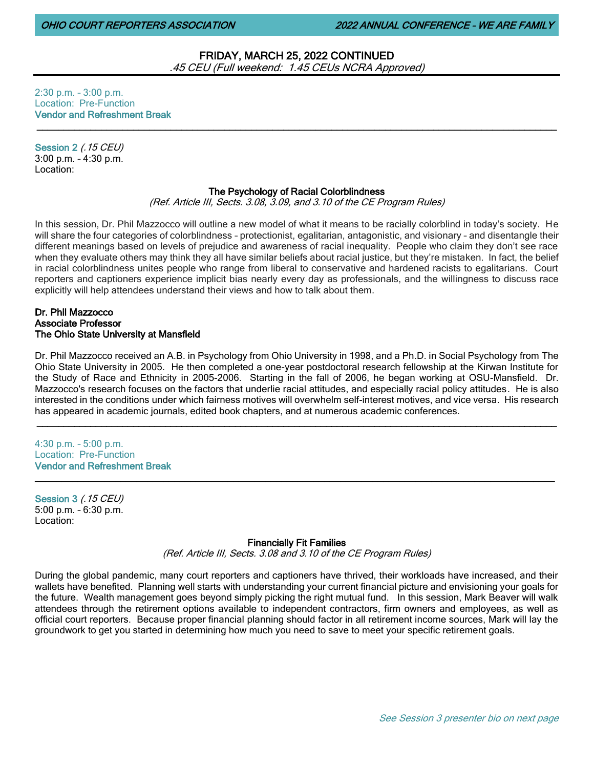# FRIDAY, MARCH 25, 2022 CONTINUED .45 CEU (Full weekend: 1.45 CEUs NCRA Approved)

2:30 p.m. – 3:00 p.m. Location: Pre-Function Vendor and Refreshment Break

Session 2 (.15 CEU) 3:00 p.m. – 4:30 p.m. Location:

### The Psychology of Racial Colorblindness

 $\_$  ,  $\_$  ,  $\_$  ,  $\_$  ,  $\_$  ,  $\_$  ,  $\_$  ,  $\_$  ,  $\_$  ,  $\_$  ,  $\_$  ,  $\_$  ,  $\_$  ,  $\_$  ,  $\_$  ,  $\_$  ,  $\_$  ,  $\_$  ,  $\_$  ,  $\_$  ,  $\_$  ,  $\_$  ,  $\_$  ,  $\_$  ,  $\_$  ,  $\_$  ,  $\_$  ,  $\_$  ,  $\_$  ,  $\_$  ,  $\_$  ,  $\_$  ,  $\_$  ,  $\_$  ,  $\_$  ,  $\_$  ,  $\_$  ,

(Ref. Article III, Sects. 3.08, 3.09, and 3.10 of the CE Program Rules)

In this session, Dr. Phil Mazzocco will outline a new model of what it means to be racially colorblind in today's society. He will share the four categories of colorblindness – protectionist, egalitarian, antagonistic, and visionary – and disentangle their different meanings based on levels of prejudice and awareness of racial inequality. People who claim they don't see race when they evaluate others may think they all have similar beliefs about racial justice, but they're mistaken. In fact, the belief in racial colorblindness unites people who range from liberal to conservative and hardened racists to egalitarians. Court reporters and captioners experience implicit bias nearly every day as professionals, and the willingness to discuss race explicitly will help attendees understand their views and how to talk about them.

#### Dr. Phil Mazzocco Associate Professor The Ohio State University at Mansfield

Dr. Phil Mazzocco received an A.B. in Psychology from Ohio University in 1998, and a Ph.D. in Social Psychology from The Ohio State University in 2005. He then completed a one-year postdoctoral research fellowship at the Kirwan Institute for the Study of Race and Ethnicity in 2005-2006. Starting in the fall of 2006, he began working at OSU-Mansfield. Dr. Mazzocco's research focuses on the factors that underlie racial attitudes, and especially racial policy attitudes. He is also interested in the conditions under which fairness motives will overwhelm self-interest motives, and vice versa. His research has appeared in academic journals, edited book chapters, and at numerous academic conferences.

\_\_\_\_\_\_\_\_\_\_\_\_\_\_\_\_\_\_\_\_\_\_\_\_\_\_\_\_\_\_\_\_\_\_\_\_\_\_\_\_\_\_\_\_\_\_\_\_\_\_\_\_\_\_\_\_\_\_\_\_\_\_\_\_\_\_\_\_\_\_\_\_\_\_\_\_\_\_\_\_\_\_\_\_\_\_\_\_\_\_\_\_\_\_\_\_\_

#### 4:30 p.m. – 5:00 p.m. Location: Pre-Function Vendor and Refreshment Break

Session 3 (.15 CEU) 5:00 p.m. – 6:30 p.m. Location:

#### Financially Fit Families

\_\_\_\_\_\_\_\_\_\_\_\_\_\_\_\_\_\_\_\_\_\_\_\_\_\_\_\_\_\_\_\_\_\_\_\_\_\_\_\_\_\_\_\_\_\_\_\_\_\_\_\_\_\_\_\_\_\_\_\_\_\_\_\_\_\_\_\_\_\_\_\_\_\_\_\_\_\_\_\_\_\_\_\_\_\_\_\_\_\_\_\_\_\_\_\_\_

(Ref. Article III, Sects. 3.08 and 3.10 of the CE Program Rules)

During the global pandemic, many court reporters and captioners have thrived, their workloads have increased, and their wallets have benefited. Planning well starts with understanding your current financial picture and envisioning your goals for the future. Wealth management goes beyond simply picking the right mutual fund. In this session, Mark Beaver will walk attendees through the retirement options available to independent contractors, firm owners and employees, as well as official court reporters. Because proper financial planning should factor in all retirement income sources, Mark will lay the groundwork to get you started in determining how much you need to save to meet your specific retirement goals.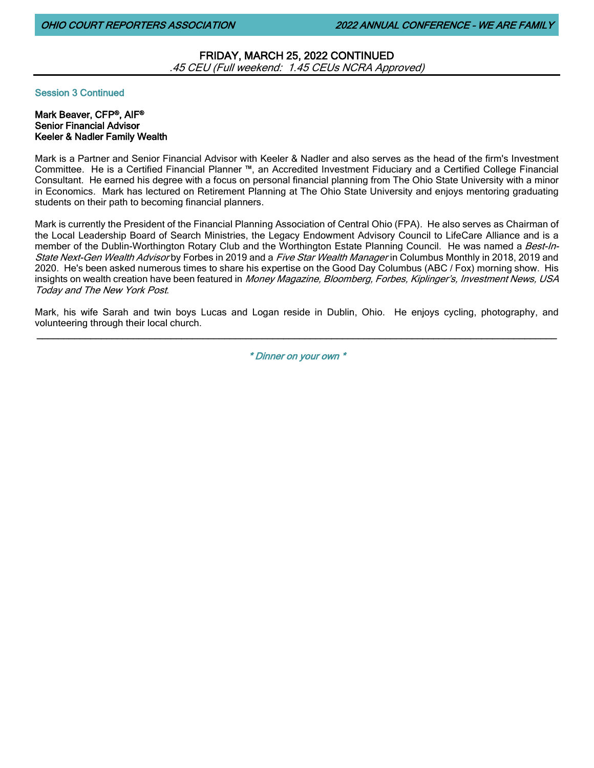FRIDAY, MARCH 25, 2022 CONTINUED .45 CEU (Full weekend: 1.45 CEUs NCRA Approved)

Session 3 Continued

## Mark Beaver, CFP®, AIF® Senior Financial Advisor Keeler & Nadler Family Wealth

Mark is a Partner and Senior Financial Advisor with Keeler & Nadler and also serves as the head of the firm's Investment Committee. He is a Certified Financial Planner ™, an Accredited Investment Fiduciary and a Certified College Financial Consultant. He earned his degree with a focus on personal financial planning from The Ohio State University with a minor in Economics. Mark has lectured on Retirement Planning at The Ohio State University and enjoys mentoring graduating students on their path to becoming financial planners.

Mark is currently the President of the Financial Planning Association of Central Ohio (FPA). He also serves as Chairman of the Local Leadership Board of Search Ministries, the Legacy Endowment Advisory Council to LifeCare Alliance and is a member of the Dublin-Worthington Rotary Club and the Worthington Estate Planning Council. He was named a Best-In-State Next-Gen Wealth Advisor by Forbes in 2019 and a Five Star Wealth Manager in Columbus Monthly in 2018, 2019 and 2020. He's been asked numerous times to share his expertise on the Good Day Columbus (ABC / Fox) morning show. His insights on wealth creation have been featured in Money Magazine, Bloomberg, Forbes, Kiplinger's, Investment News, USA Today and The New York Post.

Mark, his wife Sarah and twin boys Lucas and Logan reside in Dublin, Ohio. He enjoys cycling, photography, and volunteering through their local church. \_\_\_\_\_\_\_\_\_\_\_\_\_\_\_\_\_\_\_\_\_\_\_\_\_\_\_\_\_\_\_\_\_\_\_\_\_\_\_\_\_\_\_\_\_\_\_\_\_\_\_\_\_\_\_\_\_\_\_\_\_\_\_\_\_\_\_\_\_\_\_\_\_\_\_\_\_\_\_\_\_\_\_\_\_\_\_\_\_\_\_\_\_\_\_\_\_

\* Dinner on your own \*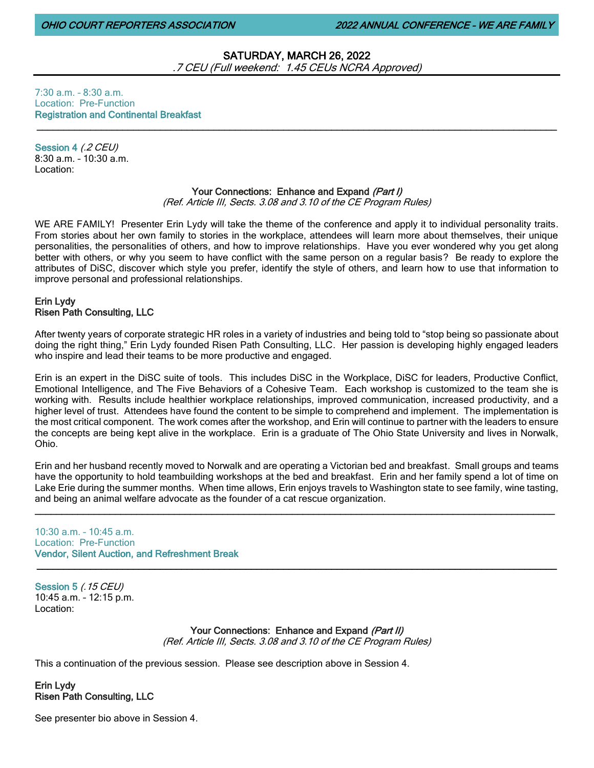# SATURDAY, MARCH 26, 2022 .7 CEU (Full weekend: 1.45 CEUs NCRA Approved)

7:30 a.m. – 8:30 a.m. Location: Pre-Function Registration and Continental Breakfast

Session 4 (.2 CEU) 8:30 a.m. – 10:30 a.m. Location:

# Your Connections: Enhance and Expand (Part I)

 $\_$  ,  $\_$  ,  $\_$  ,  $\_$  ,  $\_$  ,  $\_$  ,  $\_$  ,  $\_$  ,  $\_$  ,  $\_$  ,  $\_$  ,  $\_$  ,  $\_$  ,  $\_$  ,  $\_$  ,  $\_$  ,  $\_$  ,  $\_$  ,  $\_$  ,  $\_$  ,  $\_$  ,  $\_$  ,  $\_$  ,  $\_$  ,  $\_$  ,  $\_$  ,  $\_$  ,  $\_$  ,  $\_$  ,  $\_$  ,  $\_$  ,  $\_$  ,  $\_$  ,  $\_$  ,  $\_$  ,  $\_$  ,  $\_$  ,

(Ref. Article III, Sects. 3.08 and 3.10 of the CE Program Rules)

WE ARE FAMILY! Presenter Erin Lydy will take the theme of the conference and apply it to individual personality traits. From stories about her own family to stories in the workplace, attendees will learn more about themselves, their unique personalities, the personalities of others, and how to improve relationships. Have you ever wondered why you get along better with others, or why you seem to have conflict with the same person on a regular basis? Be ready to explore the attributes of DiSC, discover which style you prefer, identify the style of others, and learn how to use that information to improve personal and professional relationships.

# Erin Lydy Risen Path Consulting, LLC

After twenty years of corporate strategic HR roles in a variety of industries and being told to "stop being so passionate about doing the right thing," Erin Lydy founded Risen Path Consulting, LLC. Her passion is developing highly engaged leaders who inspire and lead their teams to be more productive and engaged.

Erin is an expert in the DiSC suite of tools. This includes DiSC in the Workplace, DiSC for leaders, Productive Conflict, Emotional Intelligence, and The Five Behaviors of a Cohesive Team. Each workshop is customized to the team she is working with. Results include healthier workplace relationships, improved communication, increased productivity, and a higher level of trust. Attendees have found the content to be simple to comprehend and implement. The implementation is the most critical component. The work comes after the workshop, and Erin will continue to partner with the leaders to ensure the concepts are being kept alive in the workplace. Erin is a graduate of The Ohio State University and lives in Norwalk, Ohio.

Erin and her husband recently moved to Norwalk and are operating a Victorian bed and breakfast. Small groups and teams have the opportunity to hold teambuilding workshops at the bed and breakfast. Erin and her family spend a lot of time on Lake Erie during the summer months. When time allows, Erin enjoys travels to Washington state to see family, wine tasting, and being an animal welfare advocate as the founder of a cat rescue organization.

\_\_\_\_\_\_\_\_\_\_\_\_\_\_\_\_\_\_\_\_\_\_\_\_\_\_\_\_\_\_\_\_\_\_\_\_\_\_\_\_\_\_\_\_\_\_\_\_\_\_\_\_\_\_\_\_\_\_\_\_\_\_\_\_\_\_\_\_\_\_\_\_\_\_\_\_\_\_\_\_\_\_\_\_\_\_\_\_\_\_\_\_\_\_\_\_\_

\_\_\_\_\_\_\_\_\_\_\_\_\_\_\_\_\_\_\_\_\_\_\_\_\_\_\_\_\_\_\_\_\_\_\_\_\_\_\_\_\_\_\_\_\_\_\_\_\_\_\_\_\_\_\_\_\_\_\_\_\_\_\_\_\_\_\_\_\_\_\_\_\_\_\_\_\_\_\_\_\_\_\_\_\_\_\_\_\_\_\_\_\_\_\_\_\_

10:30 a.m. – 10:45 a.m. Location: Pre-Function Vendor, Silent Auction, and Refreshment Break

Session 5 (.15 CEU) 10:45 a.m. – 12:15 p.m. Location:

> Your Connections: Enhance and Expand (Part II) (Ref. Article III, Sects. 3.08 and 3.10 of the CE Program Rules)

This a continuation of the previous session. Please see description above in Session 4.

Erin Lydy Risen Path Consulting, LLC

See presenter bio above in Session 4.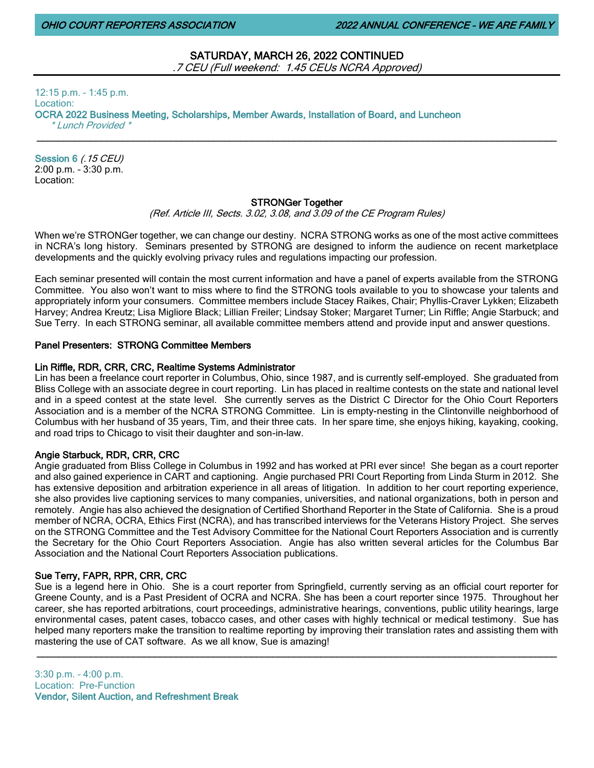OHIO COURT REPORTERS ASSOCIATION 2022 ANNUAL CONFERENCE – WE ARE FAMILY

# SATURDAY, MARCH 26, 2022 CONTINUED .7 CEU (Full weekend: 1.45 CEUs NCRA Approved)

12:15 p.m. – 1:45 p.m. Location: OCRA 2022 Business Meeting, Scholarships, Member Awards, Installation of Board, and Luncheon \* Lunch Provided \*

Session 6 (.15 CEU) 2:00 p.m. – 3:30 p.m. Location:

# STRONGer Together

\_\_\_\_\_\_\_\_\_\_\_\_\_\_\_\_\_\_\_\_\_\_\_\_\_\_\_\_\_\_\_\_\_\_\_\_\_\_\_\_\_\_\_\_\_\_\_\_\_\_\_\_\_\_\_\_\_\_\_\_\_\_\_\_\_\_\_\_\_\_\_\_\_\_\_\_\_\_\_\_\_\_\_\_\_\_\_\_\_\_\_\_\_\_\_\_\_

(Ref. Article III, Sects. 3.02, 3.08, and 3.09 of the CE Program Rules)

When we're STRONGer together, we can change our destiny. NCRA STRONG works as one of the most active committees in NCRA's long history. Seminars presented by STRONG are designed to inform the audience on recent marketplace developments and the quickly evolving privacy rules and regulations impacting our profession.

Each seminar presented will contain the most current information and have a panel of experts available from the STRONG Committee. You also won't want to miss where to find the STRONG tools available to you to showcase your talents and appropriately inform your consumers. Committee members include Stacey Raikes, Chair; Phyllis-Craver Lykken; Elizabeth Harvey; Andrea Kreutz; Lisa Migliore Black; Lillian Freiler; Lindsay Stoker; Margaret Turner; Lin Riffle; Angie Starbuck; and Sue Terry. In each STRONG seminar, all available committee members attend and provide input and answer questions.

### Panel Presenters: STRONG Committee Members

#### Lin Riffle, RDR, CRR, CRC, Realtime Systems Administrator

Lin has been a freelance court reporter in Columbus, Ohio, since 1987, and is currently self-employed. She graduated from Bliss College with an associate degree in court reporting. Lin has placed in realtime contests on the state and national level and in a speed contest at the state level. She currently serves as the District C Director for the Ohio Court Reporters Association and is a member of the NCRA STRONG Committee. Lin is empty-nesting in the Clintonville neighborhood of Columbus with her husband of 35 years, Tim, and their three cats. In her spare time, she enjoys hiking, kayaking, cooking, and road trips to Chicago to visit their daughter and son-in-law.

# Angie Starbuck, RDR, CRR, CRC

Angie graduated from Bliss College in Columbus in 1992 and has worked at PRI ever since! She began as a court reporter and also gained experience in CART and captioning. Angie purchased PRI Court Reporting from Linda Sturm in 2012. She has extensive deposition and arbitration experience in all areas of litigation. In addition to her court reporting experience, she also provides live captioning services to many companies, universities, and national organizations, both in person and remotely. Angie has also achieved the designation of Certified Shorthand Reporter in the State of California. She is a proud member of NCRA, OCRA, Ethics First (NCRA), and has transcribed interviews for the Veterans History Project. She serves on the STRONG Committee and the Test Advisory Committee for the National Court Reporters Association and is currently the Secretary for the Ohio Court Reporters Association. Angie has also written several articles for the Columbus Bar Association and the National Court Reporters Association publications.

# Sue Terry, FAPR, RPR, CRR, CRC

Sue is a legend here in Ohio. She is a court reporter from Springfield, currently serving as an official court reporter for Greene County, and is a Past President of OCRA and NCRA. She has been a court reporter since 1975. Throughout her career, she has reported arbitrations, court proceedings, administrative hearings, conventions, public utility hearings, large environmental cases, patent cases, tobacco cases, and other cases with highly technical or medical testimony. Sue has helped many reporters make the transition to realtime reporting by improving their translation rates and assisting them with mastering the use of CAT software. As we all know, Sue is amazing!

\_\_\_\_\_\_\_\_\_\_\_\_\_\_\_\_\_\_\_\_\_\_\_\_\_\_\_\_\_\_\_\_\_\_\_\_\_\_\_\_\_\_\_\_\_\_\_\_\_\_\_\_\_\_\_\_\_\_\_\_\_\_\_\_\_\_\_\_\_\_\_\_\_\_\_\_\_\_\_\_\_\_\_\_\_\_\_\_\_\_\_\_\_\_\_\_\_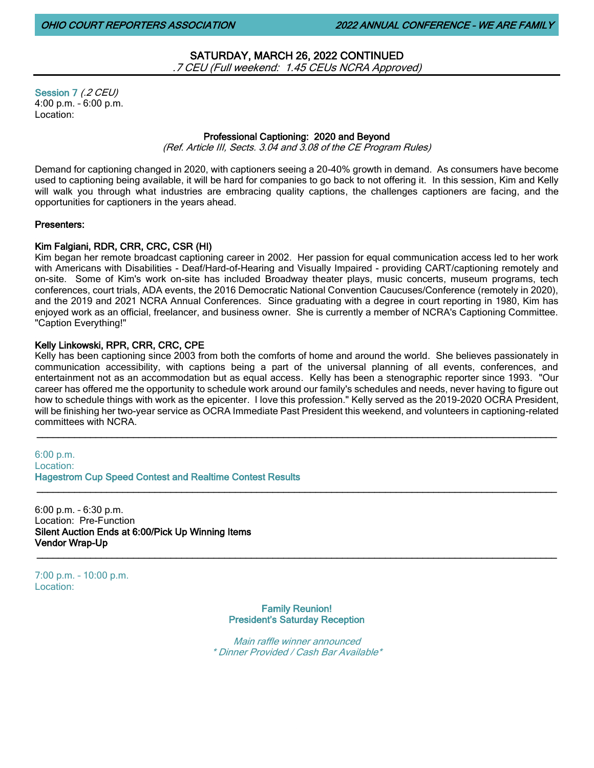# SATURDAY, MARCH 26, 2022 CONTINUED .7 CEU (Full weekend: 1.45 CEUs NCRA Approved)

Session 7 (.2 CEU) 4:00 p.m. – 6:00 p.m. Location:

# Professional Captioning: 2020 and Beyond

(Ref. Article III, Sects. 3.04 and 3.08 of the CE Program Rules)

Demand for captioning changed in 2020, with captioners seeing a 20-40% growth in demand. As consumers have become used to captioning being available, it will be hard for companies to go back to not offering it. In this session, Kim and Kelly will walk you through what industries are embracing quality captions, the challenges captioners are facing, and the opportunities for captioners in the years ahead.

# Presenters:

# Kim Falgiani, RDR, CRR, CRC, CSR (HI)

Kim began her remote broadcast captioning career in 2002. Her passion for equal communication access led to her work with Americans with Disabilities - Deaf/Hard-of-Hearing and Visually Impaired - providing CART/captioning remotely and on-site. Some of Kim's work on-site has included Broadway theater plays, music concerts, museum programs, tech conferences, court trials, ADA events, the 2016 Democratic National Convention Caucuses/Conference (remotely in 2020), and the 2019 and 2021 NCRA Annual Conferences. Since graduating with a degree in court reporting in 1980, Kim has enjoyed work as an official, freelancer, and business owner. She is currently a member of NCRA's Captioning Committee. "Caption Everything!"

# Kelly Linkowski, RPR, CRR, CRC, CPE

Kelly has been captioning since 2003 from both the comforts of home and around the world. She believes passionately in communication accessibility, with captions being a part of the universal planning of all events, conferences, and entertainment not as an accommodation but as equal access. Kelly has been a stenographic reporter since 1993. "Our career has offered me the opportunity to schedule work around our family's schedules and needs, never having to figure out how to schedule things with work as the epicenter. I love this profession." Kelly served as the 2019-2020 OCRA President, will be finishing her two-year service as OCRA Immediate Past President this weekend, and volunteers in captioning-related committees with NCRA.

 $\_$  ,  $\_$  ,  $\_$  ,  $\_$  ,  $\_$  ,  $\_$  ,  $\_$  ,  $\_$  ,  $\_$  ,  $\_$  ,  $\_$  ,  $\_$  ,  $\_$  ,  $\_$  ,  $\_$  ,  $\_$  ,  $\_$  ,  $\_$  ,  $\_$  ,  $\_$  ,  $\_$  ,  $\_$  ,  $\_$  ,  $\_$  ,  $\_$  ,  $\_$  ,  $\_$  ,  $\_$  ,  $\_$  ,  $\_$  ,  $\_$  ,  $\_$  ,  $\_$  ,  $\_$  ,  $\_$  ,  $\_$  ,  $\_$  ,

\_\_\_\_\_\_\_\_\_\_\_\_\_\_\_\_\_\_\_\_\_\_\_\_\_\_\_\_\_\_\_\_\_\_\_\_\_\_\_\_\_\_\_\_\_\_\_\_\_\_\_\_\_\_\_\_\_\_\_\_\_\_\_\_\_\_\_\_\_\_\_\_\_\_\_\_\_\_\_\_\_\_\_\_\_\_\_\_\_\_\_\_\_\_\_\_\_

6:00 p.m. Location: Hagestrom Cup Speed Contest and Realtime Contest Results

6:00 p.m. – 6:30 p.m. Location: Pre-Function Silent Auction Ends at 6:00/Pick Up Winning Items Vendor Wrap-Up \_\_\_\_\_\_\_\_\_\_\_\_\_\_\_\_\_\_\_\_\_\_\_\_\_\_\_\_\_\_\_\_\_\_\_\_\_\_\_\_\_\_\_\_\_\_\_\_\_\_\_\_\_\_\_\_\_\_\_\_\_\_\_\_\_\_\_\_\_\_\_\_\_\_\_\_\_\_\_\_\_\_\_\_\_\_\_\_\_\_\_\_\_\_\_\_\_

7:00 p.m. – 10:00 p.m. Location:

> Family Reunion! President's Saturday Reception

Main raffle winner announced \* Dinner Provided / Cash Bar Available\*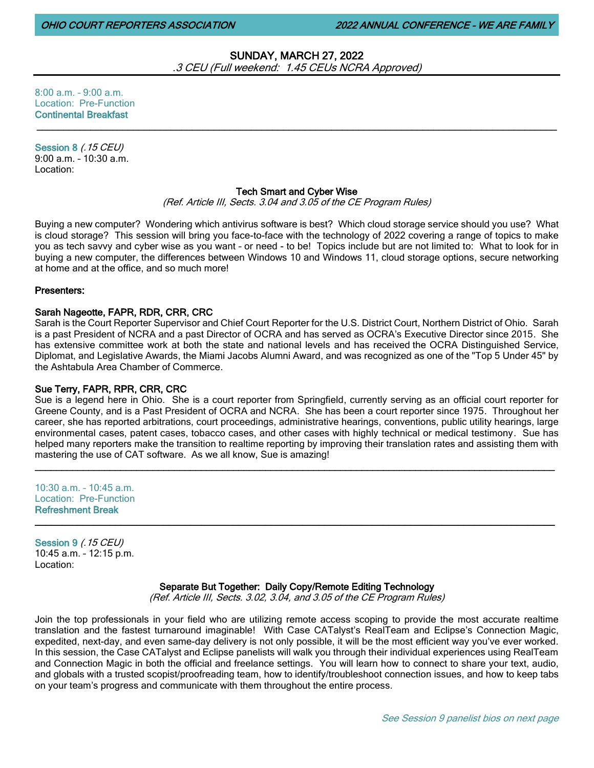# SUNDAY, MARCH 27, 2022 .3 CEU (Full weekend: 1.45 CEUs NCRA Approved)

8:00 a.m. – 9:00 a.m. Location: Pre-Function Continental Breakfast

Session 8 (.15 CEU) 9:00 a.m. – 10:30 a.m. Location:

# Tech Smart and Cyber Wise

 $\_$  ,  $\_$  ,  $\_$  ,  $\_$  ,  $\_$  ,  $\_$  ,  $\_$  ,  $\_$  ,  $\_$  ,  $\_$  ,  $\_$  ,  $\_$  ,  $\_$  ,  $\_$  ,  $\_$  ,  $\_$  ,  $\_$  ,  $\_$  ,  $\_$  ,  $\_$  ,  $\_$  ,  $\_$  ,  $\_$  ,  $\_$  ,  $\_$  ,  $\_$  ,  $\_$  ,  $\_$  ,  $\_$  ,  $\_$  ,  $\_$  ,  $\_$  ,  $\_$  ,  $\_$  ,  $\_$  ,  $\_$  ,  $\_$  ,

(Ref. Article III, Sects. 3.04 and 3.05 of the CE Program Rules)

Buying a new computer? Wondering which antivirus software is best? Which cloud storage service should you use? What is cloud storage? This session will bring you face-to-face with the technology of 2022 covering a range of topics to make you as tech savvy and cyber wise as you want – or need - to be! Topics include but are not limited to: What to look for in buying a new computer, the differences between Windows 10 and Windows 11, cloud storage options, secure networking at home and at the office, and so much more!

### Presenters:

# Sarah Nageotte, FAPR, RDR, CRR, CRC

Sarah is the Court Reporter Supervisor and Chief Court Reporter for the U.S. District Court, Northern District of Ohio. Sarah is a past President of NCRA and a past Director of OCRA and has served as OCRA's Executive Director since 2015. She has extensive committee work at both the state and national levels and has received the OCRA Distinguished Service, Diplomat, and Legislative Awards, the Miami Jacobs Alumni Award, and was recognized as one of the "Top 5 Under 45" by the Ashtabula Area Chamber of Commerce.

# Sue Terry, FAPR, RPR, CRR, CRC

Sue is a legend here in Ohio. She is a court reporter from Springfield, currently serving as an official court reporter for Greene County, and is a Past President of OCRA and NCRA. She has been a court reporter since 1975. Throughout her career, she has reported arbitrations, court proceedings, administrative hearings, conventions, public utility hearings, large environmental cases, patent cases, tobacco cases, and other cases with highly technical or medical testimony. Sue has helped many reporters make the transition to realtime reporting by improving their translation rates and assisting them with mastering the use of CAT software. As we all know, Sue is amazing!

\_\_\_\_\_\_\_\_\_\_\_\_\_\_\_\_\_\_\_\_\_\_\_\_\_\_\_\_\_\_\_\_\_\_\_\_\_\_\_\_\_\_\_\_\_\_\_\_\_\_\_\_\_\_\_\_\_\_\_\_\_\_\_\_\_\_\_\_\_\_\_\_\_\_\_\_\_\_\_\_\_\_\_\_\_\_\_\_\_\_\_\_\_\_\_\_\_

\_\_\_\_\_\_\_\_\_\_\_\_\_\_\_\_\_\_\_\_\_\_\_\_\_\_\_\_\_\_\_\_\_\_\_\_\_\_\_\_\_\_\_\_\_\_\_\_\_\_\_\_\_\_\_\_\_\_\_\_\_\_\_\_\_\_\_\_\_\_\_\_\_\_\_\_\_\_\_\_\_\_\_\_\_\_\_\_\_\_\_\_\_\_\_\_\_

 $10:30$  a.m. –  $10:45$  a.m. Location: Pre-Function Refreshment Break

Session 9 (.15 CEU) 10:45 a.m. – 12:15 p.m. Location:

Separate But Together: Daily Copy/Remote Editing Technology

(Ref. Article III, Sects. 3.02, 3.04, and 3.05 of the CE Program Rules)

Join the top professionals in your field who are utilizing remote access scoping to provide the most accurate realtime translation and the fastest turnaround imaginable! With Case CATalyst's RealTeam and Eclipse's Connection Magic, expedited, next-day, and even same-day delivery is not only possible, it will be the most efficient way you've ever worked. In this session, the Case CATalyst and Eclipse panelists will walk you through their individual experiences using RealTeam and Connection Magic in both the official and freelance settings. You will learn how to connect to share your text, audio, and globals with a trusted scopist/proofreading team, how to identify/troubleshoot connection issues, and how to keep tabs on your team's progress and communicate with them throughout the entire process.